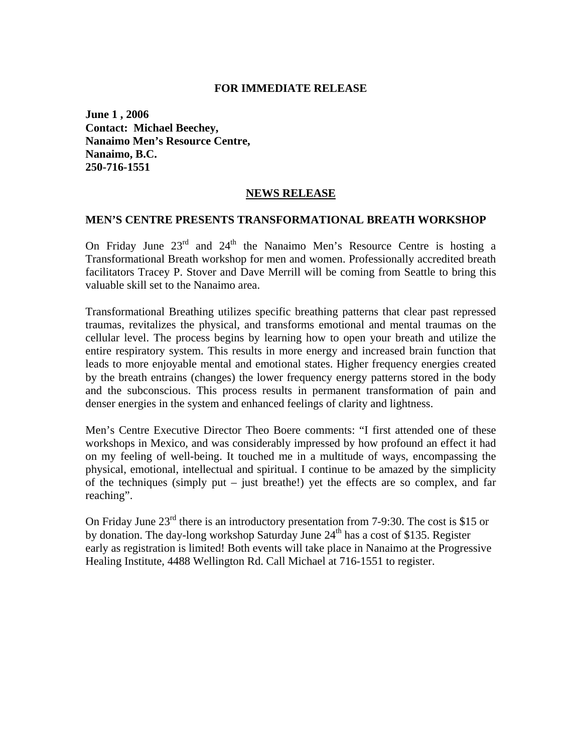#### **FOR IMMEDIATE RELEASE**

**June 1 , 2006 Contact: Michael Beechey, Nanaimo Men's Resource Centre, Nanaimo, B.C. 250-716-1551** 

## **NEWS RELEASE**

#### **MEN'S CENTRE PRESENTS TRANSFORMATIONAL BREATH WORKSHOP**

On Friday June 23<sup>rd</sup> and 24<sup>th</sup> the Nanaimo Men's Resource Centre is hosting a Transformational Breath workshop for men and women. Professionally accredited breath facilitators Tracey P. Stover and Dave Merrill will be coming from Seattle to bring this valuable skill set to the Nanaimo area.

Transformational Breathing utilizes specific breathing patterns that clear past repressed traumas, revitalizes the physical, and transforms emotional and mental traumas on the cellular level. The process begins by learning how to open your breath and utilize the entire respiratory system. This results in more energy and increased brain function that leads to more enjoyable mental and emotional states. Higher frequency energies created by the breath entrains (changes) the lower frequency energy patterns stored in the body and the subconscious. This process results in permanent transformation of pain and denser energies in the system and enhanced feelings of clarity and lightness.

Men's Centre Executive Director Theo Boere comments: "I first attended one of these workshops in Mexico, and was considerably impressed by how profound an effect it had on my feeling of well-being. It touched me in a multitude of ways, encompassing the physical, emotional, intellectual and spiritual. I continue to be amazed by the simplicity of the techniques (simply put – just breathe!) yet the effects are so complex, and far reaching".

On Friday June  $23^{\text{rd}}$  there is an introductory presentation from 7-9:30. The cost is \$15 or by donation. The day-long workshop Saturday June  $24<sup>th</sup>$  has a cost of \$135. Register early as registration is limited! Both events will take place in Nanaimo at the Progressive Healing Institute, 4488 Wellington Rd. Call Michael at 716-1551 to register.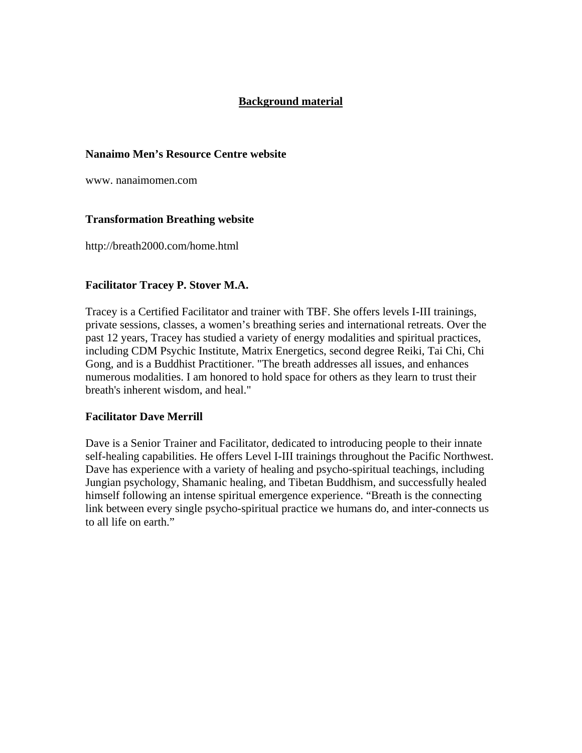## **Background material**

## **Nanaimo Men's Resource Centre website**

www. nanaimomen.com

## **Transformation Breathing website**

http://breath2000.com/home.html

## **Facilitator Tracey P. Stover M.A.**

Tracey is a Certified Facilitator and trainer with TBF. She offers levels I-III trainings, private sessions, classes, a women's breathing series and international retreats. Over the past 12 years, Tracey has studied a variety of energy modalities and spiritual practices, including CDM Psychic Institute, Matrix Energetics, second degree Reiki, Tai Chi, Chi Gong, and is a Buddhist Practitioner. "The breath addresses all issues, and enhances numerous modalities. I am honored to hold space for others as they learn to trust their breath's inherent wisdom, and heal."

## **Facilitator Dave Merrill**

Dave is a Senior Trainer and Facilitator, dedicated to introducing people to their innate self-healing capabilities. He offers Level I-III trainings throughout the Pacific Northwest. Dave has experience with a variety of healing and psycho-spiritual teachings, including Jungian psychology, Shamanic healing, and Tibetan Buddhism, and successfully healed himself following an intense spiritual emergence experience. "Breath is the connecting link between every single psycho-spiritual practice we humans do, and inter-connects us to all life on earth."